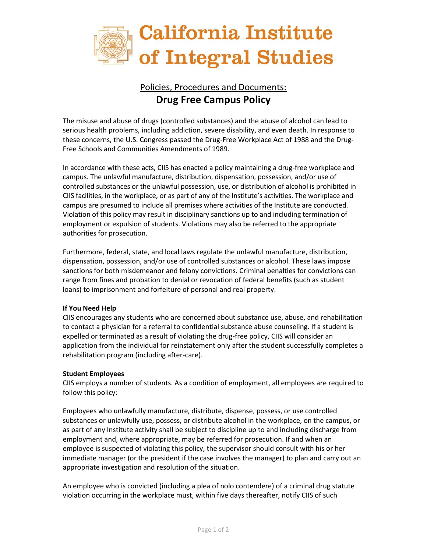

## Policies, Procedures and Documents: **Drug Free Campus Policy**

The misuse and abuse of drugs (controlled substances) and the abuse of alcohol can lead to serious health problems, including addiction, severe disability, and even death. In response to these concerns, the U.S. Congress passed the Drug-Free Workplace Act of 1988 and the Drug-Free Schools and Communities Amendments of 1989.

In accordance with these acts, CIIS has enacted a policy maintaining a drug-free workplace and campus. The unlawful manufacture, distribution, dispensation, possession, and/or use of controlled substances or the unlawful possession, use, or distribution of alcohol is prohibited in CIIS facilities, in the workplace, or as part of any of the Institute's activities. The workplace and campus are presumed to include all premises where activities of the Institute are conducted. Violation of this policy may result in disciplinary sanctions up to and including termination of employment or expulsion of students. Violations may also be referred to the appropriate authorities for prosecution.

Furthermore, federal, state, and local laws regulate the unlawful manufacture, distribution, dispensation, possession, and/or use of controlled substances or alcohol. These laws impose sanctions for both misdemeanor and felony convictions. Criminal penalties for convictions can range from fines and probation to denial or revocation of federal benefits (such as student loans) to imprisonment and forfeiture of personal and real property.

## **If You Need Help**

CIIS encourages any students who are concerned about substance use, abuse, and rehabilitation to contact a physician for a referral to confidential substance abuse counseling. If a student is expelled or terminated as a result of violating the drug-free policy, CIIS will consider an application from the individual for reinstatement only after the student successfully completes a rehabilitation program (including after-care).

## **Student Employees**

CIIS employs a number of students. As a condition of employment, all employees are required to follow this policy:

Employees who unlawfully manufacture, distribute, dispense, possess, or use controlled substances or unlawfully use, possess, or distribute alcohol in the workplace, on the campus, or as part of any Institute activity shall be subject to discipline up to and including discharge from employment and, where appropriate, may be referred for prosecution. If and when an employee is suspected of violating this policy, the supervisor should consult with his or her immediate manager (or the president if the case involves the manager) to plan and carry out an appropriate investigation and resolution of the situation.

An employee who is convicted (including a plea of nolo contendere) of a criminal drug statute violation occurring in the workplace must, within five days thereafter, notify CIIS of such